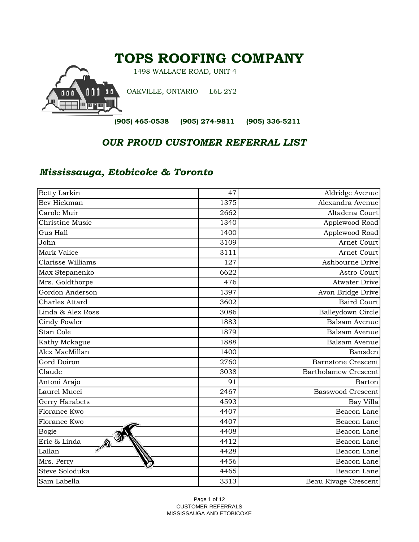## **TOPS ROOFING COMPANY**

1498 WALLACE ROAD, UNIT 4

OAKVILLE, ONTARIO L6L 2Y2

 **(905) 465-0538 (905) 274-9811 (905) 336-5211**

## *OUR PROUD CUSTOMER REFERRAL LIST*

## *Mississauga, Etobicoke & Toronto*

| <b>Betty Larkin</b> | 47   | Aldridge Avenue             |
|---------------------|------|-----------------------------|
| Bev Hickman         | 1375 | Alexandra Avenue            |
| Carole Muir         | 2662 | Altadena Court              |
| Christine Music     | 1340 | Applewood Road              |
| Gus Hall            | 1400 | Applewood Road              |
| John                | 3109 | Arnet Court                 |
| Mark Valice         | 3111 | Arnet Court                 |
| Clarisse Williams   | 127  | Ashbourne Drive             |
| Max Stepanenko      | 6622 | Astro Court                 |
| Mrs. Goldthorpe     | 476  | <b>Atwater Drive</b>        |
| Gordon Anderson     | 1397 | Avon Bridge Drive           |
| Charles Attard      | 3602 | <b>Baird Court</b>          |
| Linda & Alex Ross   | 3086 | Balleydown Circle           |
| Cindy Fowler        | 1883 | Balsam Avenue               |
| Stan Cole           | 1879 | <b>Balsam Avenue</b>        |
| Kathy Mckague       | 1888 | Balsam Avenue               |
| Alex MacMillan      | 1400 | Bansden                     |
| Gord Doiron         | 2760 | <b>Barnstone Crescent</b>   |
| Claude              | 3038 | <b>Bartholamew Crescent</b> |
| Antoni Arajo        | 91   | Barton                      |
| Laurel Mucci        | 2467 | <b>Basswood Crescent</b>    |
| Gerry Harabets      | 4593 | Bay Villa                   |
| Florance Kwo        | 4407 | Beacon Lane                 |
| Florance Kwo        | 4407 | Beacon Lane                 |
| <b>Bogie</b>        | 4408 | Beacon Lane                 |
| Eric & Linda<br>A   | 4412 | Beacon Lane                 |
| Lallan              | 4428 | Beacon Lane                 |
| Mrs. Perry          | 4456 | Beacon Lane                 |
| Steve Soloduka      | 4465 | Beacon Lane                 |
| Sam Labella         | 3313 | Beau Rivage Crescent        |

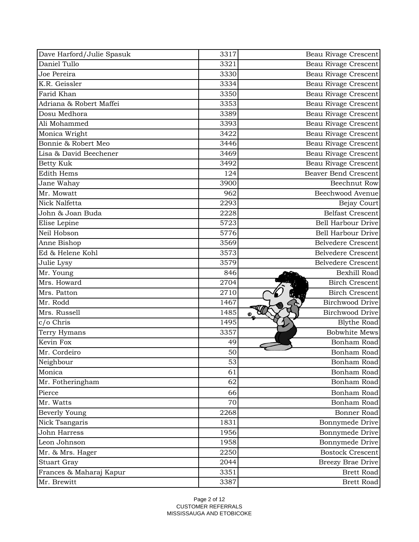| Dave Harford/Julie Spasuk | 3317 | Beau Rivage Crescent        |
|---------------------------|------|-----------------------------|
| Daniel Tullo              | 3321 | Beau Rivage Crescent        |
| Joe Pereira               | 3330 | <b>Beau Rivage Crescent</b> |
| K.R. Geissler             | 3334 | Beau Rivage Crescent        |
| Farid Khan                | 3350 | <b>Beau Rivage Crescent</b> |
| Adriana & Robert Maffei   | 3353 | Beau Rivage Crescent        |
| Dosu Medhora              | 3389 | <b>Beau Rivage Crescent</b> |
| Ali Mohammed              | 3393 | Beau Rivage Crescent        |
| Monica Wright             | 3422 | <b>Beau Rivage Crescent</b> |
| Bonnie & Robert Meo       | 3446 | Beau Rivage Crescent        |
| Lisa & David Beechener    | 3469 | Beau Rivage Crescent        |
| <b>Betty Kuk</b>          | 3492 | <b>Beau Rivage Crescent</b> |
| <b>Edith Hems</b>         | 124  | <b>Beaver Bend Crescent</b> |
| Jane Wahay                | 3900 | <b>Beechnut Row</b>         |
| Mr. Mowatt                | 962  | Beechwood Avenue            |
| Nick Nalfetta             | 2293 | <b>Bejay Court</b>          |
| John & Joan Buda          | 2228 | <b>Belfast Crescent</b>     |
| Elise Lepine              | 5723 | <b>Bell Harbour Drive</b>   |
| Neil Hobson               | 5776 | <b>Bell Harbour Drive</b>   |
| Anne Bishop               | 3569 | <b>Belvedere Crescent</b>   |
| Ed & Helene Kohl          | 3573 | <b>Belvedere Crescent</b>   |
| Julie Lysy                | 3579 | <b>Belvedere Crescent</b>   |
| Mr. Young                 | 846  | Bexhill Road                |
| Mrs. Howard               | 2704 | <b>Birch Crescent</b>       |
| Mrs. Patton               | 2710 | <b>Birch Crescent</b>       |
| Mr. Rodd                  | 1467 | <b>Birchwood Drive</b>      |
| Mrs. Russell              | 1485 | <b>Birchwood Drive</b>      |
| c/o Chris                 | 1495 | <b>Blythe Road</b>          |
| Terry Hymans              | 3357 | <b>Bobwhite Mews</b>        |
| Kevin Fox                 | 49   | Bonham Road                 |
| Mr. Cordeiro              | 50   | Bonham Road                 |
| Neighbour                 | 53   | Bonham Road                 |
| Monica                    | 61   | Bonham Road                 |
| Mr. Fotheringham          | 62   | Bonham Road                 |
| Pierce                    | 66   | Bonham Road                 |
| Mr. Watts                 | 70   | Bonham Road                 |
| <b>Beverly Young</b>      | 2268 | <b>Bonner Road</b>          |
| Nick Tsangaris            | 1831 | Bonnymede Drive             |
| <b>John Harress</b>       | 1956 | Bonnymede Drive             |
| Leon Johnson              | 1958 | Bonnymede Drive             |
| Mr. & Mrs. Hager          | 2250 | <b>Bostock Crescent</b>     |
| <b>Stuart Gray</b>        | 2044 | <b>Breezy Brae Drive</b>    |
| Frances & Maharaj Kapur   | 3351 | <b>Brett Road</b>           |
| Mr. Brewitt               | 3387 | <b>Brett Road</b>           |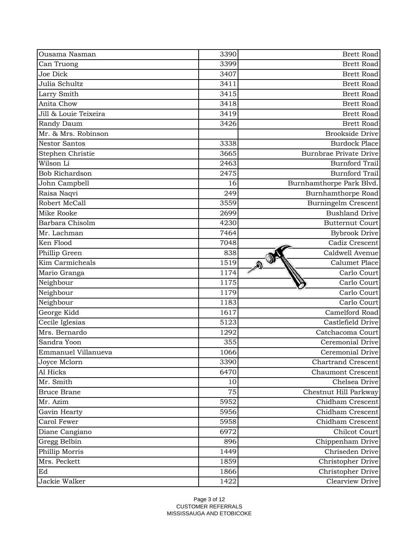| Ousama Nasman         | 3390 | <b>Brett Road</b>             |
|-----------------------|------|-------------------------------|
| Can Truong            | 3399 | <b>Brett Road</b>             |
| Joe Dick              | 3407 | <b>Brett Road</b>             |
| Julia Schultz         | 3411 | <b>Brett Road</b>             |
| Larry Smith           | 3415 | <b>Brett Road</b>             |
| Anita Chow            | 3418 | <b>Brett Road</b>             |
| Jill & Louie Teixeira | 3419 | <b>Brett Road</b>             |
| Randy Daum            | 3426 | <b>Brett Road</b>             |
| Mr. & Mrs. Robinson   |      | <b>Brookside Drive</b>        |
| <b>Nestor Santos</b>  | 3338 | <b>Burdock Place</b>          |
| Stephen Christie      | 3665 | <b>Burnbrae Private Drive</b> |
| Wilson Li             | 2463 | <b>Burnford Trail</b>         |
| <b>Bob Richardson</b> | 2475 | <b>Burnford Trail</b>         |
| John Campbell         | 16   | Burnhamthorpe Park Blvd.      |
| Raisa Naqvi           | 249  | Burnhamthorpe Road            |
| Robert McCall         | 3559 | <b>Burningelm Crescent</b>    |
| Mike Rooke            | 2699 | <b>Bushland Drive</b>         |
| Barbara Chisolm       | 4230 | <b>Butternut Court</b>        |
| Mr. Lachman           | 7464 | <b>Bybrook Drive</b>          |
| Ken Flood             | 7048 | Cadiz Crescent                |
| Phillip Green         | 838  | Caldwell Avenue               |
| Kim Carmicheals       | 1519 | Calumet Place                 |
| Mario Granga          | 1174 | Carlo Court                   |
| Neighbour             | 1175 | Carlo Court                   |
| Neighbour             | 1179 | Carlo Court                   |
| Neighbour             | 1183 | Carlo Court                   |
| George Kidd           | 1617 | Camelford Road                |
| Cecile Iglesias       | 5123 | Castlefield Drive             |
| Mrs. Bernardo         | 1292 | Catchacoma Court              |
| Sandra Yoon           | 355  | Ceremonial Drive              |
| Emmanuel Villanueva   | 1066 | Ceremonial Drive              |
| Joyce Mclorn          | 3390 | <b>Chartrand Crescent</b>     |
| Al Hicks              | 6470 | <b>Chaumont Crescent</b>      |
| Mr. Smith             | 10   | Chelsea Drive                 |
| <b>Bruce Brane</b>    | 75   | Chestnut Hill Parkway         |
| Mr. Azim              | 5952 | Chidham Crescent              |
| Gavin Hearty          | 5956 | Chidham Crescent              |
| Carol Fewer           | 5958 | Chidham Crescent              |
| Diane Cangiano        | 6972 | Chilcot Court                 |
| Gregg Belbin          | 896  | Chippenham Drive              |
| Phillip Morris        | 1449 | Chriseden Drive               |
| Mrs. Peckett          | 1859 | Christopher Drive             |
| Ed                    | 1866 | Christopher Drive             |
| Jackie Walker         | 1422 | Clearview Drive               |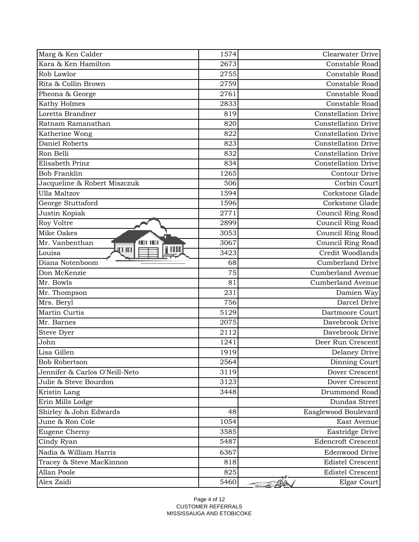| Marg & Ken Calder                | 1574 | Clearwater Drive           |
|----------------------------------|------|----------------------------|
| Kara & Ken Hamilton              | 2673 | Constable Road             |
| Rob Lawlor                       | 2755 | Constable Road             |
| Rita & Collin Brown              | 2759 | Constable Road             |
| Pheona & George                  | 2761 | Constable Road             |
| Kathy Holmes                     | 2833 | Constable Road             |
| Loretta Brandner                 | 819  | <b>Constellation Drive</b> |
| Ratnam Ramanathan                | 820  | <b>Constellation Drive</b> |
| Katherine Wong                   | 822  | <b>Constellation Drive</b> |
| Daniel Roberts                   | 823  | <b>Constellation Drive</b> |
| Ron Belli                        | 832  | <b>Constellation Drive</b> |
| Elisabeth Prinz                  | 834  | <b>Constellation Drive</b> |
| <b>Bob Franklin</b>              | 1265 | Contour Drive              |
| Jacqueline & Robert Miszczuk     | 506  | Corbin Court               |
| <b>Ulla Maltzov</b>              | 1594 | Corkstone Glade            |
| George Stuttaford                | 1596 | Corkstone Glade            |
| Justin Kopiak                    | 2771 | Council Ring Road          |
| Roy Voltre                       | 2899 | Council Ring Road          |
| Mike Oakes                       | 3053 | Council Ring Road          |
| 101 10<br>Mr. Vanbenthan         | 3067 | Council Ring Road          |
| <b>TITU</b><br>III III<br>Louisa | 3423 | Credit Woodlands           |
| Diana Notenboom                  | 68   | <b>Cumberland Drive</b>    |
| Don McKenzie                     | 75   | <b>Cumberland Avenue</b>   |
| Mr. Bowls                        | 81   | Cumberland Avenue          |
| Mr. Thompson                     | 231  | Damien Way                 |
| Mrs. Beryl                       | 756  | Darcel Drive               |
| Martin Curtis                    | 5129 | Dartmoore Court            |
| Mr. Barnes                       | 2075 | Davebrook Drive            |
| Steve Dyer                       | 2112 | Davebrook Drive            |
| John                             | 1241 | Deer Run Crescent          |
| Lisa Gillen                      | 1919 | <b>Delaney Drive</b>       |
| <b>Bob Robertson</b>             | 2564 | Dinning Court              |
| Jennifer & Carlos O'Neill-Neto   | 3119 | Dover Crescent             |
| Julie & Steve Bourdon            | 3123 | Dover Crescent             |
| Kristin Lang                     | 3448 | Drummond Road              |
| Erin Mills Lodge                 |      | Dundas Street              |
| Shirley & John Edwards           | 48   | Easglewood Boulevard       |
| June & Ron Cole                  | 1054 | East Avenue                |
| Eugene Cherny                    | 3585 | <b>Eastridge Drive</b>     |
| Cindy Ryan                       | 5487 | <b>Edencroft Crescent</b>  |
| Nadia & William Harris           | 6367 | <b>Edenwood Drive</b>      |
| Tracey & Steve MacKinnon         | 818  | <b>Edistel Crescent</b>    |
| Allan Poole                      | 825  | <b>Edistel Crescent</b>    |
| Alex Zaidi                       | 5460 | Elgar Court                |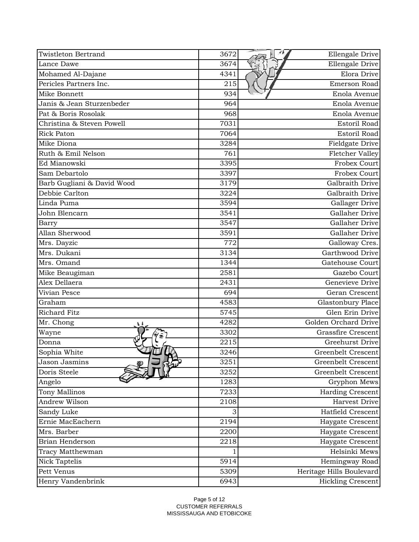| <b>Twistleton Bertrand</b> | 3672 | Ellengale Drive           |
|----------------------------|------|---------------------------|
| Lance Dawe                 | 3674 | Ellengale Drive           |
| Mohamed Al-Dajane          | 4341 | Elora Drive               |
| Pericles Partners Inc.     | 215  | Emerson Road              |
| Mike Bonnett               | 934  | Enola Avenue              |
| Janis & Jean Sturzenbeder  | 964  | Enola Avenue              |
| Pat & Boris Rosolak        | 968  | Enola Avenue              |
| Christina & Steven Powell  | 7031 | Estoril Road              |
| <b>Rick Paton</b>          | 7064 | Estoril Road              |
| Mike Diona                 | 3284 | Fieldgate Drive           |
| Ruth & Emil Nelson         | 761  | Fletcher Valley           |
| Ed Mianowski               | 3395 | <b>Frobex Court</b>       |
| Sam Debartolo              | 3397 | <b>Frobex Court</b>       |
| Barb Gugliani & David Wood | 3179 | Galbraith Drive           |
| Debbie Carlton             | 3224 | Galbraith Drive           |
| Linda Puma                 | 3594 | Gallager Drive            |
| John Blencarn              | 3541 | Gallaher Drive            |
| Barry                      | 3547 | Gallaher Drive            |
| Allan Sherwood             | 3591 | Gallaher Drive            |
| Mrs. Dayzic                | 772  | Galloway Cres.            |
| Mrs. Dukani                | 3134 | Garthwood Drive           |
| Mrs. Omand                 | 1344 | Gatehouse Court           |
| Mike Beaugiman             | 2581 | Gazebo Court              |
| Alex Dellaera              | 2431 | Genevieve Drive           |
| Vivian Pesce               | 694  | Geran Crescent            |
| Graham                     | 4583 | Glastonbury Place         |
| Richard Fitz               | 5745 | Glen Erin Drive           |
| Mr. Chong                  | 4282 | Golden Orchard Drive      |
| Wayne                      | 3302 | <b>Grassfire Crescent</b> |
| Donna                      | 2215 | Greehurst Drive           |
| Sophia White               | 3246 | Greenbelt Crescent        |
| Jason Jasmins              | 3251 | Greenbelt Crescent        |
| Doris Steele               | 3252 | Greenbelt Crescent        |
| Angelo                     | 1283 | Gryphon Mews              |
| Tony Mallinos              | 7233 | <b>Harding Crescent</b>   |
| Andrew Wilson              | 2108 | Harvest Drive             |
| Sandy Luke                 | 3    | Hatfield Crescent         |
| Ernie MacEachern           | 2194 | Haygate Crescent          |
| Mrs. Barber                | 2200 | Haygate Crescent          |
| Brian Henderson            | 2218 | Haygate Crescent          |
| Tracy Matthewman           |      | Helsinki Mews             |
| <b>Nick Taptelis</b>       | 5914 | Hemingway Road            |
| Pett Venus                 | 5309 | Heritage Hills Boulevard  |
| Henry Vandenbrink          | 6943 | <b>Hickling Crescent</b>  |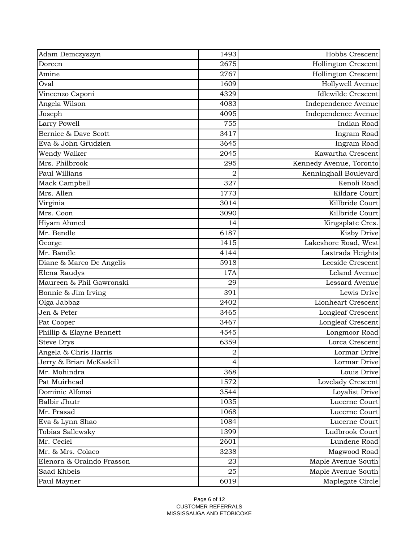| 2675<br>Hollington Crescent<br>Doreen<br>2767<br>Amine<br>Hollington Crescent<br>Oval<br>1609<br>Hollywell Avenue<br>4329<br><b>Idlewilde Crescent</b><br>Vincenzo Caponi<br>Angela Wilson<br>4083<br>Independence Avenue<br>4095<br>Joseph<br>Independence Avenue<br>755<br>Indian Road<br>Larry Powell<br>Bernice & Dave Scott<br>3417<br>Ingram Road<br>3645<br>Eva & John Grudzien<br>Ingram Road<br>Kawartha Crescent<br>Wendy Walker<br>2045 |
|----------------------------------------------------------------------------------------------------------------------------------------------------------------------------------------------------------------------------------------------------------------------------------------------------------------------------------------------------------------------------------------------------------------------------------------------------|
|                                                                                                                                                                                                                                                                                                                                                                                                                                                    |
|                                                                                                                                                                                                                                                                                                                                                                                                                                                    |
|                                                                                                                                                                                                                                                                                                                                                                                                                                                    |
|                                                                                                                                                                                                                                                                                                                                                                                                                                                    |
|                                                                                                                                                                                                                                                                                                                                                                                                                                                    |
|                                                                                                                                                                                                                                                                                                                                                                                                                                                    |
|                                                                                                                                                                                                                                                                                                                                                                                                                                                    |
|                                                                                                                                                                                                                                                                                                                                                                                                                                                    |
|                                                                                                                                                                                                                                                                                                                                                                                                                                                    |
|                                                                                                                                                                                                                                                                                                                                                                                                                                                    |
| Mrs. Philbrook<br>295<br>Kennedy Avenue, Toronto                                                                                                                                                                                                                                                                                                                                                                                                   |
| Paul Willians<br>Kenninghall Boulevard<br>2                                                                                                                                                                                                                                                                                                                                                                                                        |
| Kenoli Road<br>327<br>Mack Campbell                                                                                                                                                                                                                                                                                                                                                                                                                |
| Mrs. Allen<br>Kildare Court<br>1773                                                                                                                                                                                                                                                                                                                                                                                                                |
| Killbride Court<br>Virginia<br>3014                                                                                                                                                                                                                                                                                                                                                                                                                |
| Killbride Court<br>Mrs. Coon<br>3090                                                                                                                                                                                                                                                                                                                                                                                                               |
| Hiyam Ahmed<br>14<br>Kingsplate Cres.                                                                                                                                                                                                                                                                                                                                                                                                              |
| Mr. Bendle<br>6187<br>Kisby Drive                                                                                                                                                                                                                                                                                                                                                                                                                  |
| Lakeshore Road, West<br>1415<br>George                                                                                                                                                                                                                                                                                                                                                                                                             |
| Mr. Bandle<br>4144<br>Lastrada Heights                                                                                                                                                                                                                                                                                                                                                                                                             |
| Leeside Crescent<br>5918<br>Diane & Marco De Angelis                                                                                                                                                                                                                                                                                                                                                                                               |
| Elena Raudys<br>17A<br>Leland Avenue                                                                                                                                                                                                                                                                                                                                                                                                               |
| Maureen & Phil Gawronski<br>29<br>Lessard Avenue                                                                                                                                                                                                                                                                                                                                                                                                   |
| 391<br>Lewis Drive<br>Bonnie & Jim Irving                                                                                                                                                                                                                                                                                                                                                                                                          |
| 2402<br>Olga Jabbaz<br>Lionheart Crescent                                                                                                                                                                                                                                                                                                                                                                                                          |
| 3465<br>Jen & Peter<br>Longleaf Crescent                                                                                                                                                                                                                                                                                                                                                                                                           |
| 3467<br>Longleaf Crescent<br>Pat Cooper                                                                                                                                                                                                                                                                                                                                                                                                            |
| Phillip & Elayne Bennett<br>4545<br>Longmoor Road                                                                                                                                                                                                                                                                                                                                                                                                  |
| <b>Steve Drys</b><br>6359<br>Lorca Crescent                                                                                                                                                                                                                                                                                                                                                                                                        |
| Angela & Chris Harris<br>$\mathbf 2$<br>Lormar Drive                                                                                                                                                                                                                                                                                                                                                                                               |
| Jerry & Brian McKaskill<br>Lormar Drive<br>4                                                                                                                                                                                                                                                                                                                                                                                                       |
| Mr. Mohindra<br>368<br>Louis Drive                                                                                                                                                                                                                                                                                                                                                                                                                 |
| Pat Muirhead<br>1572<br>Lovelady Crescent                                                                                                                                                                                                                                                                                                                                                                                                          |
| Dominic Alfonsi<br>3544<br>Loyalist Drive                                                                                                                                                                                                                                                                                                                                                                                                          |
| <b>Balbir Jhutr</b><br>1035<br>Lucerne Court                                                                                                                                                                                                                                                                                                                                                                                                       |
| Mr. Prasad<br>1068<br>Lucerne Court                                                                                                                                                                                                                                                                                                                                                                                                                |
| Eva & Lynn Shao<br>1084<br>Lucerne Court                                                                                                                                                                                                                                                                                                                                                                                                           |
| Ludbrook Court<br>Tobias Sallewsky<br>1399                                                                                                                                                                                                                                                                                                                                                                                                         |
| Mr. Ceciel<br>2601<br>Lundene Road                                                                                                                                                                                                                                                                                                                                                                                                                 |
| Mr. & Mrs. Colaco<br>Magwood Road<br>3238                                                                                                                                                                                                                                                                                                                                                                                                          |
| Elenora & Oraindo Frasson<br>23<br>Maple Avenue South                                                                                                                                                                                                                                                                                                                                                                                              |
| Saad Khbeis<br>Maple Avenue South<br>25                                                                                                                                                                                                                                                                                                                                                                                                            |
| 6019<br>Maplegate Circle<br>Paul Mayner                                                                                                                                                                                                                                                                                                                                                                                                            |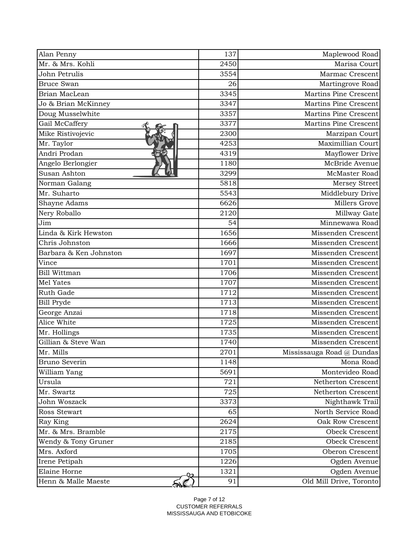| Alan Penny             | 137  | Maplewood Road            |
|------------------------|------|---------------------------|
| Mr. & Mrs. Kohli       | 2450 | Marisa Court              |
| John Petrulis          | 3554 | Marmac Crescent           |
| <b>Bruce Swan</b>      | 26   | Martingrove Road          |
| Brian MacLean          | 3345 | Martins Pine Crescent     |
| Jo & Brian McKinney    | 3347 | Martins Pine Crescent     |
| Doug Musselwhite       | 3357 | Martins Pine Crescent     |
| Gail McCaffery         | 3377 | Martins Pine Crescent     |
| Mike Ristivojevic      | 2300 | Marzipan Court            |
| Mr. Taylor             | 4253 | Maximillian Court         |
| Andri Prodan           | 4319 | Mayflower Drive           |
| Angelo Berlongier      | 1180 | McBride Avenue            |
| Susan Ashton           | 3299 | McMaster Road             |
| Norman Galang          | 5818 | Mersey Street             |
| Mr. Suharto            | 5543 | Middlebury Drive          |
| Shayne Adams           | 6626 | Millers Grove             |
| Nery Roballo           | 2120 | Millway Gate              |
| Jim                    | 54   | Minnewawa Road            |
| Linda & Kirk Hewston   | 1656 | Missenden Crescent        |
| Chris Johnston         | 1666 | Missenden Crescent        |
| Barbara & Ken Johnston | 1697 | Missenden Crescent        |
| Vince                  | 1701 | Missenden Crescent        |
| Bill Wittman           | 1706 | Missenden Crescent        |
| Mel Yates              | 1707 | Missenden Crescent        |
| Ruth Gade              | 1712 | Missenden Crescent        |
| <b>Bill Pryde</b>      | 1713 | Missenden Crescent        |
| George Anzai           | 1718 | Missenden Crescent        |
| Alice White            | 1725 | Missenden Crescent        |
| Mr. Hollings           | 1735 | Missenden Crescent        |
| Gillian & Steve Wan    | 1740 | Missenden Crescent        |
| Mr. Mills              | 2701 | Mississauga Road @ Dundas |
| Bruno Severin          | 1148 | Mona Road                 |
| William Yang           | 5691 | Montevideo Road           |
| Ursula                 | 721  | Netherton Crescent        |
| Mr. Swartz             | 725  | Netherton Crescent        |
| John Woszack           | 3373 | Nighthawk Trail           |
| Ross Stewart           | 65   | North Service Road        |
| Ray King               | 2624 | Oak Row Crescent          |
| Mr. & Mrs. Bramble     | 2175 | Obeck Crescent            |
| Wendy & Tony Gruner    | 2185 | Obeck Crescent            |
| Mrs. Axford            | 1705 | Oberon Crescent           |
| Irene Petipah          | 1226 | Ogden Avenue              |
| Elaine Horne           | 1321 | Ogden Avenue              |
| Henn & Malle Maeste    | 91   | Old Mill Drive, Toronto   |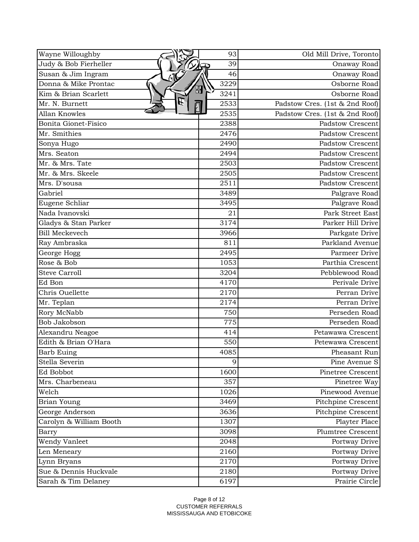| Wayne Willoughby        | 93        | Old Mill Drive, Toronto        |
|-------------------------|-----------|--------------------------------|
| Judy & Bob Fierheller   | 39        | Onaway Road                    |
| Susan & Jim Ingram      | 46        | Onaway Road                    |
| Donna & Mike Prontac    | 3229      | Osborne Road                   |
| Kim & Brian Scarlett    | 昍<br>3241 | Osborne Road                   |
| E<br>Mr. N. Burnett     | 2533      | Padstow Cres. (1st & 2nd Roof) |
| Allan Knowles           | 2535      | Padstow Cres. (1st & 2nd Roof) |
| Bonita Gionet-Fisico    | 2388      | <b>Padstow Crescent</b>        |
| Mr. Smithies            | 2476      | <b>Padstow Crescent</b>        |
| Sonya Hugo              | 2490      | <b>Padstow Crescent</b>        |
| Mrs. Seaton             | 2494      | <b>Padstow Crescent</b>        |
| Mr. & Mrs. Tate         | 2503      | <b>Padstow Crescent</b>        |
| Mr. & Mrs. Skeele       | 2505      | <b>Padstow Crescent</b>        |
| Mrs. D'sousa            | 2511      | <b>Padstow Crescent</b>        |
| Gabriel                 | 3489      | Palgrave Road                  |
| Eugene Schliar          | 3495      | Palgrave Road                  |
| Nada Ivanovski          | 21        | Park Street East               |
| Gladys & Stan Parker    | 3174      | Parker Hill Drive              |
| <b>Bill Meckevech</b>   | 3966      | Parkgate Drive                 |
| Ray Ambraska            | 811       | Parkland Avenue                |
| George Hogg             | 2495      | Parmeer Drive                  |
| Rose & Bob              | 1053      | Parthia Crescent               |
| <b>Steve Carroll</b>    | 3204      | Pebblewood Road                |
| Ed Bon                  | 4170      | Perivale Drive                 |
| Chris Ouellette         | 2170      | Perran Drive                   |
| Mr. Teplan              | 2174      | Perran Drive                   |
| Rory McNabb             | 750       | Perseden Road                  |
| Bob Jakobson            | 775       | Perseden Road                  |
| Alexandru Neagoe        | 414       | Petawawa Crescent              |
| Edith & Brian O'Hara    | 550       | Petewawa Crescent              |
| <b>Barb Euing</b>       | 4085      | Pheasant Run                   |
| Stella Severin          | 9         | Pine Avenue S                  |
| Ed Bobbot               | 1600      | <b>Pinetree Crescent</b>       |
| Mrs. Charbeneau         | 357       | Pinetree Way                   |
| Welch                   | 1026      | Pinewood Avenue                |
| Brian Young             | 3469      | Pitchpine Crescent             |
| George Anderson         | 3636      | Pitchpine Crescent             |
| Carolyn & William Booth | 1307      | Playter Place                  |
| Barry                   | 3098      | <b>Plumtree Crescent</b>       |
| Wendy Vanleet           | 2048      | Portway Drive                  |
| Len Meneary             | 2160      | Portway Drive                  |
| Lynn Bryans             | 2170      | Portway Drive                  |
| Sue & Dennis Huckvale   | 2180      | Portway Drive                  |
| Sarah & Tim Delaney     | 6197      | Prairie Circle                 |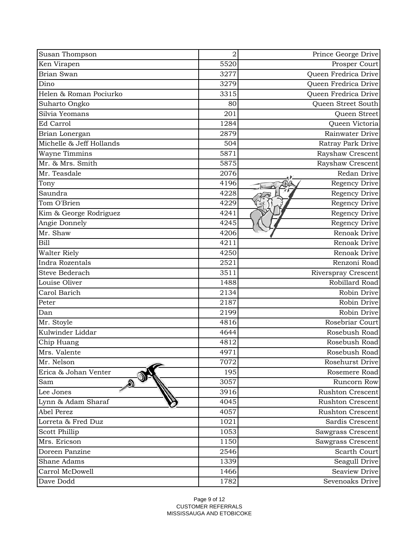| Susan Thompson           | $\overline{2}$ | Prince George Drive     |
|--------------------------|----------------|-------------------------|
| Ken Virapen              | 5520           | Prosper Court           |
| Brian Swan               | 3277           | Queen Fredrica Drive    |
| Dino                     | 3279           | Queen Fredrica Drive    |
| Helen & Roman Pociurko   | 3315           | Queen Fredrica Drive    |
| Suharto Ongko            | 80             | Queen Street South      |
| Silvia Yeomans           | 201            | Queen Street            |
| Ed Carrol                | 1284           | Queen Victoria          |
| Brian Lonergan           | 2879           | Rainwater Drive         |
| Michelle & Jeff Hollands | 504            | Ratray Park Drive       |
| <b>Wayne Timmins</b>     | 5871           | Rayshaw Crescent        |
| Mr. & Mrs. Smith         | 5875           | Rayshaw Crescent        |
| Mr. Teasdale             | 2076           | Redan Drive             |
| Tony                     | 4196           | Regency Drive           |
| Saundra                  | 4228           | Regency Drive           |
| Tom O'Brien              | 4229           | Regency Drive           |
| Kim & George Rodriguez   | 4241           | Regency Drive           |
| Angie Donnely            | 4245           | Regency Drive           |
| Mr. Shaw                 | 4206           | Renoak Drive            |
| Bill                     | 4211           | Renoak Drive            |
| <b>Walter Riely</b>      | 4250           | Renoak Drive            |
| Indra Rozentals          | 2521           | Renzoni Road            |
| Steve Bederach           | 3511           | Riverspray Crescent     |
| Louise Oliver            | 1488           | Robillard Road          |
| Carol Barich             | 2134           | Robin Drive             |
| Peter                    | 2187           | Robin Drive             |
| Dan                      | 2199           | Robin Drive             |
| Mr. Stoyle               | 4816           | Rosebriar Court         |
| Kulwinder Liddar         | 4644           | Rosebush Road           |
| Chip Huang               | 4812           | Rosebush Road           |
| Mrs. Valente             | 4971           | Rosebush Road           |
| Mr. Nelson               | 7072           | Rosehurst Drive         |
| Erica & Johan Venter     | 195            | Rosemere Road           |
| Sam                      | 3057           | Runcorn Row             |
| Lee Jones                | 3916           | <b>Rushton Crescent</b> |
| Lynn & Adam Sharaf       | 4045           | <b>Rushton Crescent</b> |
| Abel Perez               | 4057           | Rushton Crescent        |
| Lorreta & Fred Duz       | 1021           | Sardis Crescent         |
| Scott Phillip            | 1053           | Sawgrass Crescent       |
| Mrs. Ericson             | 1150           | Sawgrass Crescent       |
| Doreen Panzine           | 2546           | Scarth Court            |
| Shane Adams              | 1339           | Seagull Drive           |
| Carrol McDowell          | 1466           | <b>Seaview Drive</b>    |
| Dave Dodd                | 1782           | Sevenoaks Drive         |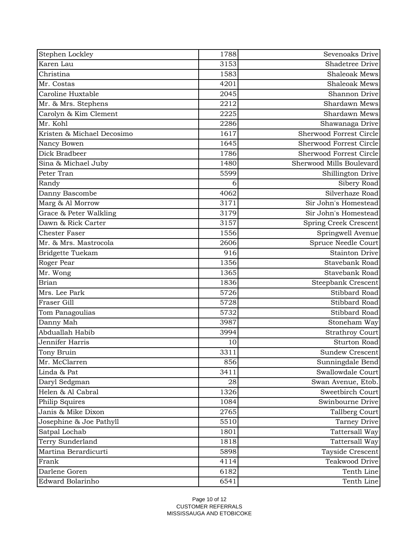| Stephen Lockley            | 1788 | Sevenoaks Drive           |
|----------------------------|------|---------------------------|
| Karen Lau                  | 3153 | <b>Shadetree Drive</b>    |
| Christina                  | 1583 | <b>Shaleoak Mews</b>      |
| Mr. Costas                 | 4201 | <b>Shaleoak Mews</b>      |
| Caroline Huxtable          | 2045 | Shannon Drive             |
| Mr. & Mrs. Stephens        | 2212 | Shardawn Mews             |
| Carolyn & Kim Clement      | 2225 | Shardawn Mews             |
| Mr. Kohl                   | 2286 | Shawanaga Drive           |
| Kristen & Michael Decosimo | 1617 | Sherwood Forrest Circle   |
| Nancy Bowen                | 1645 | Sherwood Forrest Circle   |
| Dick Bradbeer              | 1786 | Sherwood Forrest Circle   |
| Sina & Michael Juby        | 1480 | Sherwood Mills Boulevard  |
| Peter Tran                 | 5599 | Shillington Drive         |
| Randy                      | 6    | Sibery Road               |
| Danny Bascombe             | 4062 | Silverhaze Road           |
| Marg & Al Morrow           | 3171 | Sir John's Homestead      |
| Grace & Peter Walkling     | 3179 | Sir John's Homestead      |
| Dawn & Rick Carter         | 3157 | Spring Creek Crescent     |
| <b>Chester Faser</b>       | 1556 | Springwell Avenue         |
| Mr. & Mrs. Mastrocola      | 2606 | Spruce Needle Court       |
| Bridgette Tuekam           | 916  | <b>Stainton Drive</b>     |
| Roger Pear                 | 1356 | <b>Stavebank Road</b>     |
| Mr. Wong                   | 1365 | Stavebank Road            |
| <b>Brian</b>               | 1836 | <b>Steepbank Crescent</b> |
| Mrs. Lee Park              | 5726 | Stibbard Road             |
| Fraser Gill                | 5728 | Stibbard Road             |
| Tom Panagoulias            | 5732 | Stibbard Road             |
| Danny Mah                  | 3987 | Stoneham Way              |
| Abduallah Habib            | 3994 | <b>Strathroy Court</b>    |
| Jennifer Harris            | 10   | <b>Sturton Road</b>       |
| Tony Bruin                 | 3311 | Sundew Crescent           |
| Mr. McClarren              | 856  | Sunningdale Bend          |
| Linda & Pat                | 3411 | Swallowdale Court         |
| Daryl Sedgman              | 28   | Swan Avenue, Etob.        |
| Helen & Al Cabral          | 1326 | Sweetbirch Court          |
| Philip Squires             | 1084 | Swinbourne Drive          |
| Janis & Mike Dixon         | 2765 | Tallberg Court            |
| Josephine & Joe Pathyll    | 5510 | <b>Tarney Drive</b>       |
| Satpal Lochab              | 1801 | Tattersall Way            |
| Terry Sunderland           | 1818 | Tattersall Way            |
| Martina Berardicurti       | 5898 | Tayside Crescent          |
| Frank                      | 4114 | Teakwood Drive            |
| Darlene Goren              | 6182 | Tenth Line                |
| Edward Bolarinho           | 6541 | Tenth Line                |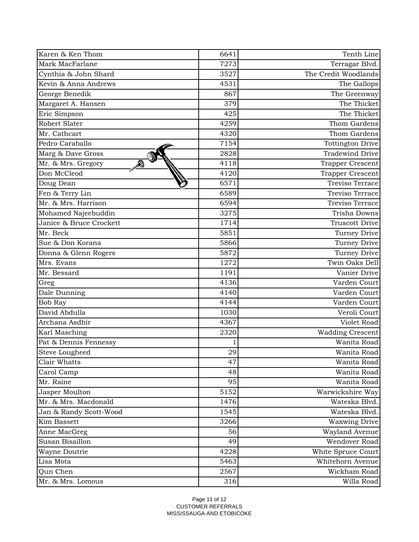| Karen & Ken Thom        | 6641 | Tenth Line              |
|-------------------------|------|-------------------------|
| Mark MacFarlane         | 7273 | Terragar Blvd.          |
| Cynthia & John Shard    | 3527 | The Credit Woodlands    |
| Kevin & Anna Andrews    | 4531 | The Gallops             |
| George Benedik          | 867  | The Greenway            |
| Margaret A. Hansen      | 379  | The Thicket             |
| Eric Simpson            | 425  | The Thicket             |
| Robert Slater           | 4259 | Thom Gardens            |
| Mr. Cathcart            | 4320 | Thom Gardens            |
| Pedro Caraballo         | 7154 | <b>Tottington Drive</b> |
| Marg & Dave Gross       | 2828 | <b>Tradewind Drive</b>  |
| Mr. & Mrs. Gregory      | 4118 | Trapper Crescent        |
| Don McCleod             | 4120 | Trapper Crescent        |
| Doug Dean               | 6571 | Treviso Terrace         |
| Fen & Terry Lin         | 6589 | Treviso Terrace         |
| Mr. & Mrs. Harrison     | 6594 | Treviso Terrace         |
| Mohamed Najeebuddin     | 3275 | Trisha Downs            |
| Janice & Bruce Crockett | 1714 | <b>Truscott Drive</b>   |
| Mr. Beck                | 5851 | Turney Drive            |
| Sue & Don Korana        | 5866 | Turney Drive            |
| Donna & Glenn Rogers    | 5872 | Turney Drive            |
| Mrs. Evans              | 1272 | Twin Oaks Dell          |
| Mr. Bessard             | 1191 | Vanier Drive            |
| Greg                    | 4136 | Varden Court            |
| Dale Dunning            | 4140 | Varden Court            |
| <b>Bob Ray</b>          | 4144 | Varden Court            |
| David Abdulla           | 1030 | Veroli Court            |
| Archana Asdhir          | 4367 | Violet Road             |
| Karl Masching           | 2320 | Wadding Crescent        |
| Pat & Dennis Fennessy   |      | Wanita Road             |
| <b>Steve Lougheed</b>   | 29   | Wanita Road             |
| Clair Whatts            | 47   | Wanita Road             |
| Carol Camp              | 48   | Wanita Road             |
| Mr. Raine               | 95   | Wanita Road             |
| Jasper Moulton          | 5152 | Warwickshire Way        |
| Mr. & Mrs. Macdonald    | 1476 | Wateska Blvd.           |
| Jan & Randy Scott-Wood  | 1545 | Wateska Blvd.           |
| Kim Bassett             | 3266 | <b>Waxwing Drive</b>    |
| Anne MacGreg            | 56   | Wayland Avenue          |
| Susan Bisaillon         | 49   | Wendover Road           |
| Wayne Doutrie           | 4228 | White Spruce Court      |
| Lisa Mota               | 5463 | Whitehorn Avenue        |
| Qun Chen                | 2567 | Wickham Road            |
| Mr. & Mrs. Lomous       | 316  | Willa Road              |